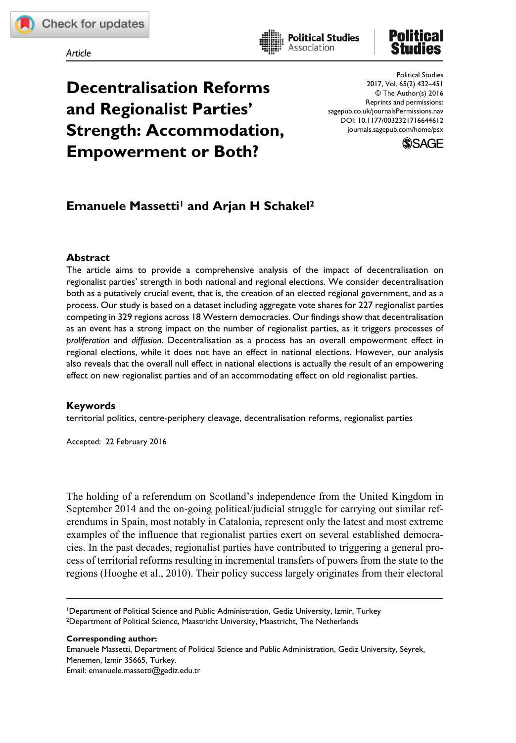

**[644612](http://crossmark.crossref.org/dialog/?doi=10.1177%2F0032321716644612&domain=pdf&date_stamp=2016-07-28)** PSX0010.1177/0032321716644612Political Studies**Massetti and Schakel**







# **Decentralisation Reforms and Regionalist Parties' Strength: Accommodation, Empowerment or Both?**

https://doi.org/10.1177/0032321716644612 DOI: 10.1177/0032321716644612 Political Studies 2017, Vol. 65(2) 432–451 © The Author(s) 2016 Reprints and permissions: [sagepub.co.uk/journalsPermissions.nav](https://uk.sagepub.com/en-gb/journals-permissions) [journals.sagepub.com/home/psx](https://journals.sagepub.com/home/psx)



# **Emanuele Massetti<sup>1</sup> and Arjan H Schakel<sup>2</sup>**

## **Abstract**

The article aims to provide a comprehensive analysis of the impact of decentralisation on regionalist parties' strength in both national and regional elections. We consider decentralisation both as a putatively crucial event, that is, the creation of an elected regional government, and as a process. Our study is based on a dataset including aggregate vote shares for 227 regionalist parties competing in 329 regions across 18 Western democracies. Our findings show that decentralisation as an event has a strong impact on the number of regionalist parties, as it triggers processes of *proliferation* and *diffusion*. Decentralisation as a process has an overall empowerment effect in regional elections, while it does not have an effect in national elections. However, our analysis also reveals that the overall null effect in national elections is actually the result of an empowering effect on new regionalist parties and of an accommodating effect on old regionalist parties.

## **Keywords**

territorial politics, centre-periphery cleavage, decentralisation reforms, regionalist parties

Accepted: 22 February 2016

The holding of a referendum on Scotland's independence from the United Kingdom in September 2014 and the on-going political/judicial struggle for carrying out similar referendums in Spain, most notably in Catalonia, represent only the latest and most extreme examples of the influence that regionalist parties exert on several established democracies. In the past decades, regionalist parties have contributed to triggering a general process of territorial reforms resulting in incremental transfers of powers from the state to the regions (Hooghe et al., 2010). Their policy success largely originates from their electoral

**Corresponding author:**

Emanuele Massetti, Department of Political Science and Public Administration, Gediz University, Seyrek, Menemen, Izmir 35665, Turkey.

Email: [emanuele.massetti@gediz.edu.tr](mailto:emanuele.massetti@gediz.edu.tr)

<sup>1</sup>Department of Political Science and Public Administration, Gediz University, Izmir, Turkey 2Department of Political Science, Maastricht University, Maastricht, The Netherlands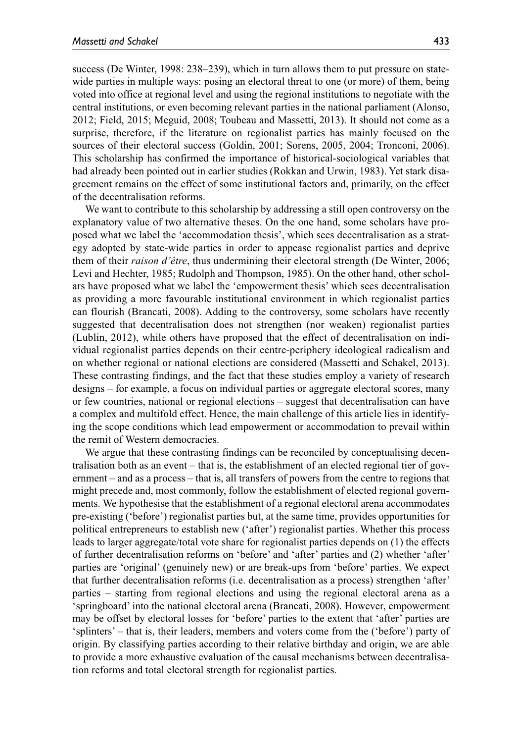success (De Winter, 1998: 238–239), which in turn allows them to put pressure on statewide parties in multiple ways: posing an electoral threat to one (or more) of them, being voted into office at regional level and using the regional institutions to negotiate with the central institutions, or even becoming relevant parties in the national parliament (Alonso, 2012; Field, 2015; Meguid, 2008; Toubeau and Massetti, 2013). It should not come as a surprise, therefore, if the literature on regionalist parties has mainly focused on the sources of their electoral success (Goldin, 2001; Sorens, 2005, 2004; Tronconi, 2006). This scholarship has confirmed the importance of historical-sociological variables that had already been pointed out in earlier studies (Rokkan and Urwin, 1983). Yet stark disagreement remains on the effect of some institutional factors and, primarily, on the effect of the decentralisation reforms.

We want to contribute to this scholarship by addressing a still open controversy on the explanatory value of two alternative theses. On the one hand, some scholars have proposed what we label the 'accommodation thesis', which sees decentralisation as a strategy adopted by state-wide parties in order to appease regionalist parties and deprive them of their *raison d'être*, thus undermining their electoral strength (De Winter, 2006; Levi and Hechter, 1985; Rudolph and Thompson, 1985). On the other hand, other scholars have proposed what we label the 'empowerment thesis' which sees decentralisation as providing a more favourable institutional environment in which regionalist parties can flourish (Brancati, 2008). Adding to the controversy, some scholars have recently suggested that decentralisation does not strengthen (nor weaken) regionalist parties (Lublin, 2012), while others have proposed that the effect of decentralisation on individual regionalist parties depends on their centre-periphery ideological radicalism and on whether regional or national elections are considered (Massetti and Schakel, 2013). These contrasting findings, and the fact that these studies employ a variety of research designs – for example, a focus on individual parties or aggregate electoral scores, many or few countries, national or regional elections – suggest that decentralisation can have a complex and multifold effect. Hence, the main challenge of this article lies in identifying the scope conditions which lead empowerment or accommodation to prevail within the remit of Western democracies.

We argue that these contrasting findings can be reconciled by conceptualising decentralisation both as an event – that is, the establishment of an elected regional tier of government – and as a process – that is, all transfers of powers from the centre to regions that might precede and, most commonly, follow the establishment of elected regional governments. We hypothesise that the establishment of a regional electoral arena accommodates pre-existing ('before') regionalist parties but, at the same time, provides opportunities for political entrepreneurs to establish new ('after') regionalist parties. Whether this process leads to larger aggregate/total vote share for regionalist parties depends on (1) the effects of further decentralisation reforms on 'before' and 'after' parties and (2) whether 'after' parties are 'original' (genuinely new) or are break-ups from 'before' parties. We expect that further decentralisation reforms (i.e. decentralisation as a process) strengthen 'after' parties – starting from regional elections and using the regional electoral arena as a 'springboard' into the national electoral arena (Brancati, 2008). However, empowerment may be offset by electoral losses for 'before' parties to the extent that 'after' parties are 'splinters' – that is, their leaders, members and voters come from the ('before') party of origin. By classifying parties according to their relative birthday and origin, we are able to provide a more exhaustive evaluation of the causal mechanisms between decentralisation reforms and total electoral strength for regionalist parties.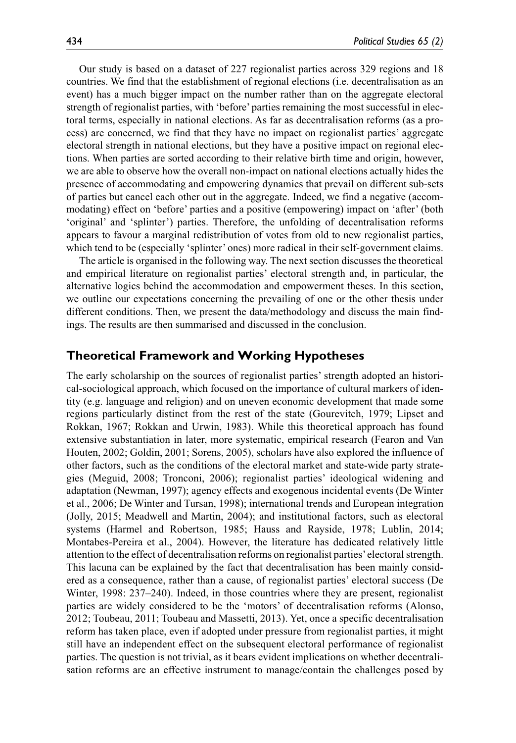Our study is based on a dataset of 227 regionalist parties across 329 regions and 18 countries. We find that the establishment of regional elections (i.e. decentralisation as an event) has a much bigger impact on the number rather than on the aggregate electoral strength of regionalist parties, with 'before' parties remaining the most successful in electoral terms, especially in national elections. As far as decentralisation reforms (as a process) are concerned, we find that they have no impact on regionalist parties' aggregate electoral strength in national elections, but they have a positive impact on regional elections. When parties are sorted according to their relative birth time and origin, however, we are able to observe how the overall non-impact on national elections actually hides the presence of accommodating and empowering dynamics that prevail on different sub-sets of parties but cancel each other out in the aggregate. Indeed, we find a negative (accommodating) effect on 'before' parties and a positive (empowering) impact on 'after' (both 'original' and 'splinter') parties. Therefore, the unfolding of decentralisation reforms appears to favour a marginal redistribution of votes from old to new regionalist parties, which tend to be (especially 'splinter' ones) more radical in their self-government claims.

The article is organised in the following way. The next section discusses the theoretical and empirical literature on regionalist parties' electoral strength and, in particular, the alternative logics behind the accommodation and empowerment theses. In this section, we outline our expectations concerning the prevailing of one or the other thesis under different conditions. Then, we present the data/methodology and discuss the main findings. The results are then summarised and discussed in the conclusion.

## **Theoretical Framework and Working Hypotheses**

The early scholarship on the sources of regionalist parties' strength adopted an historical-sociological approach, which focused on the importance of cultural markers of identity (e.g. language and religion) and on uneven economic development that made some regions particularly distinct from the rest of the state (Gourevitch, 1979; Lipset and Rokkan, 1967; Rokkan and Urwin, 1983). While this theoretical approach has found extensive substantiation in later, more systematic, empirical research (Fearon and Van Houten, 2002; Goldin, 2001; Sorens, 2005), scholars have also explored the influence of other factors, such as the conditions of the electoral market and state-wide party strategies (Meguid, 2008; Tronconi, 2006); regionalist parties' ideological widening and adaptation (Newman, 1997); agency effects and exogenous incidental events (De Winter et al., 2006; De Winter and Tursan, 1998); international trends and European integration (Jolly, 2015; Meadwell and Martin, 2004); and institutional factors, such as electoral systems (Harmel and Robertson, 1985; Hauss and Rayside, 1978; Lublin, 2014; Montabes-Pereira et al., 2004). However, the literature has dedicated relatively little attention to the effect of decentralisation reforms on regionalist parties' electoral strength. This lacuna can be explained by the fact that decentralisation has been mainly considered as a consequence, rather than a cause, of regionalist parties' electoral success (De Winter, 1998: 237–240). Indeed, in those countries where they are present, regionalist parties are widely considered to be the 'motors' of decentralisation reforms (Alonso, 2012; Toubeau, 2011; Toubeau and Massetti, 2013). Yet, once a specific decentralisation reform has taken place, even if adopted under pressure from regionalist parties, it might still have an independent effect on the subsequent electoral performance of regionalist parties. The question is not trivial, as it bears evident implications on whether decentralisation reforms are an effective instrument to manage/contain the challenges posed by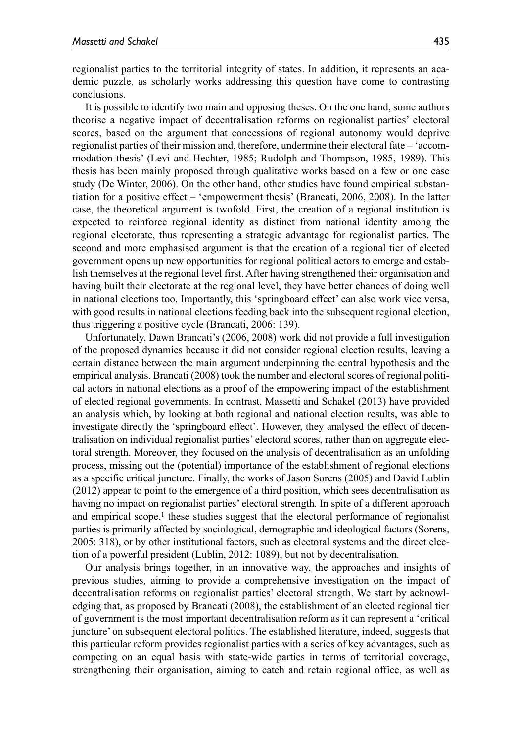regionalist parties to the territorial integrity of states. In addition, it represents an academic puzzle, as scholarly works addressing this question have come to contrasting conclusions.

It is possible to identify two main and opposing theses. On the one hand, some authors theorise a negative impact of decentralisation reforms on regionalist parties' electoral scores, based on the argument that concessions of regional autonomy would deprive regionalist parties of their mission and, therefore, undermine their electoral fate – 'accommodation thesis' (Levi and Hechter, 1985; Rudolph and Thompson, 1985, 1989). This thesis has been mainly proposed through qualitative works based on a few or one case study (De Winter, 2006). On the other hand, other studies have found empirical substantiation for a positive effect – 'empowerment thesis' (Brancati, 2006, 2008). In the latter case, the theoretical argument is twofold. First, the creation of a regional institution is expected to reinforce regional identity as distinct from national identity among the regional electorate, thus representing a strategic advantage for regionalist parties. The second and more emphasised argument is that the creation of a regional tier of elected government opens up new opportunities for regional political actors to emerge and establish themselves at the regional level first. After having strengthened their organisation and having built their electorate at the regional level, they have better chances of doing well in national elections too. Importantly, this 'springboard effect' can also work vice versa, with good results in national elections feeding back into the subsequent regional election, thus triggering a positive cycle (Brancati, 2006: 139).

Unfortunately, Dawn Brancati's (2006, 2008) work did not provide a full investigation of the proposed dynamics because it did not consider regional election results, leaving a certain distance between the main argument underpinning the central hypothesis and the empirical analysis. Brancati (2008) took the number and electoral scores of regional political actors in national elections as a proof of the empowering impact of the establishment of elected regional governments. In contrast, Massetti and Schakel (2013) have provided an analysis which, by looking at both regional and national election results, was able to investigate directly the 'springboard effect'. However, they analysed the effect of decentralisation on individual regionalist parties' electoral scores, rather than on aggregate electoral strength. Moreover, they focused on the analysis of decentralisation as an unfolding process, missing out the (potential) importance of the establishment of regional elections as a specific critical juncture. Finally, the works of Jason Sorens (2005) and David Lublin (2012) appear to point to the emergence of a third position, which sees decentralisation as having no impact on regionalist parties' electoral strength. In spite of a different approach and empirical scope, $<sup>1</sup>$  these studies suggest that the electoral performance of regionalist</sup> parties is primarily affected by sociological, demographic and ideological factors (Sorens, 2005: 318), or by other institutional factors, such as electoral systems and the direct election of a powerful president (Lublin, 2012: 1089), but not by decentralisation.

Our analysis brings together, in an innovative way, the approaches and insights of previous studies, aiming to provide a comprehensive investigation on the impact of decentralisation reforms on regionalist parties' electoral strength. We start by acknowledging that, as proposed by Brancati (2008), the establishment of an elected regional tier of government is the most important decentralisation reform as it can represent a 'critical juncture' on subsequent electoral politics. The established literature, indeed, suggests that this particular reform provides regionalist parties with a series of key advantages, such as competing on an equal basis with state-wide parties in terms of territorial coverage, strengthening their organisation, aiming to catch and retain regional office, as well as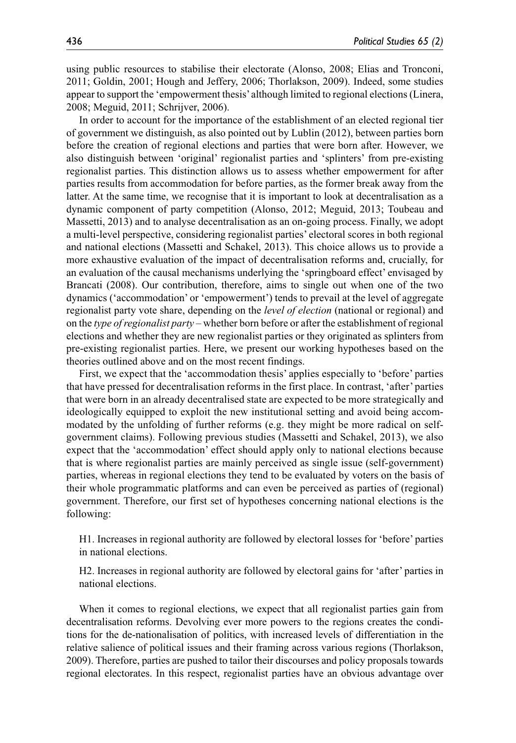using public resources to stabilise their electorate (Alonso, 2008; Elias and Tronconi, 2011; Goldin, 2001; Hough and Jeffery, 2006; Thorlakson, 2009). Indeed, some studies appear to support the 'empowerment thesis' although limited to regional elections (Linera, 2008; Meguid, 2011; Schrijver, 2006).

In order to account for the importance of the establishment of an elected regional tier of government we distinguish, as also pointed out by Lublin (2012), between parties born before the creation of regional elections and parties that were born after. However, we also distinguish between 'original' regionalist parties and 'splinters' from pre-existing regionalist parties. This distinction allows us to assess whether empowerment for after parties results from accommodation for before parties, as the former break away from the latter. At the same time, we recognise that it is important to look at decentralisation as a dynamic component of party competition (Alonso, 2012; Meguid, 2013; Toubeau and Massetti, 2013) and to analyse decentralisation as an on-going process. Finally, we adopt a multi-level perspective, considering regionalist parties' electoral scores in both regional and national elections (Massetti and Schakel, 2013). This choice allows us to provide a more exhaustive evaluation of the impact of decentralisation reforms and, crucially, for an evaluation of the causal mechanisms underlying the 'springboard effect' envisaged by Brancati (2008). Our contribution, therefore, aims to single out when one of the two dynamics ('accommodation' or 'empowerment') tends to prevail at the level of aggregate regionalist party vote share, depending on the *level of election* (national or regional) and on the *type of regionalist party* – whether born before or after the establishment of regional elections and whether they are new regionalist parties or they originated as splinters from pre-existing regionalist parties. Here, we present our working hypotheses based on the theories outlined above and on the most recent findings.

First, we expect that the 'accommodation thesis' applies especially to 'before' parties that have pressed for decentralisation reforms in the first place. In contrast, 'after' parties that were born in an already decentralised state are expected to be more strategically and ideologically equipped to exploit the new institutional setting and avoid being accommodated by the unfolding of further reforms (e.g. they might be more radical on selfgovernment claims). Following previous studies (Massetti and Schakel, 2013), we also expect that the 'accommodation' effect should apply only to national elections because that is where regionalist parties are mainly perceived as single issue (self-government) parties, whereas in regional elections they tend to be evaluated by voters on the basis of their whole programmatic platforms and can even be perceived as parties of (regional) government. Therefore, our first set of hypotheses concerning national elections is the following:

H1. Increases in regional authority are followed by electoral losses for 'before' parties in national elections.

H2. Increases in regional authority are followed by electoral gains for 'after' parties in national elections.

When it comes to regional elections, we expect that all regionalist parties gain from decentralisation reforms. Devolving ever more powers to the regions creates the conditions for the de-nationalisation of politics, with increased levels of differentiation in the relative salience of political issues and their framing across various regions (Thorlakson, 2009). Therefore, parties are pushed to tailor their discourses and policy proposals towards regional electorates. In this respect, regionalist parties have an obvious advantage over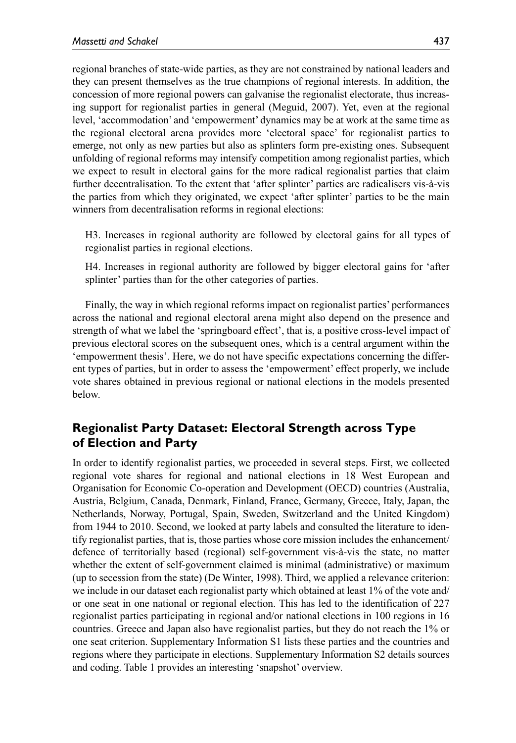regional branches of state-wide parties, as they are not constrained by national leaders and they can present themselves as the true champions of regional interests. In addition, the concession of more regional powers can galvanise the regionalist electorate, thus increasing support for regionalist parties in general (Meguid, 2007). Yet, even at the regional level, 'accommodation' and 'empowerment' dynamics may be at work at the same time as the regional electoral arena provides more 'electoral space' for regionalist parties to emerge, not only as new parties but also as splinters form pre-existing ones. Subsequent unfolding of regional reforms may intensify competition among regionalist parties, which we expect to result in electoral gains for the more radical regionalist parties that claim further decentralisation. To the extent that 'after splinter' parties are radicalisers vis-à-vis the parties from which they originated, we expect 'after splinter' parties to be the main winners from decentralisation reforms in regional elections:

H3. Increases in regional authority are followed by electoral gains for all types of regionalist parties in regional elections.

H4. Increases in regional authority are followed by bigger electoral gains for 'after splinter' parties than for the other categories of parties.

Finally, the way in which regional reforms impact on regionalist parties' performances across the national and regional electoral arena might also depend on the presence and strength of what we label the 'springboard effect', that is, a positive cross-level impact of previous electoral scores on the subsequent ones, which is a central argument within the 'empowerment thesis'. Here, we do not have specific expectations concerning the different types of parties, but in order to assess the 'empowerment' effect properly, we include vote shares obtained in previous regional or national elections in the models presented below.

## **Regionalist Party Dataset: Electoral Strength across Type of Election and Party**

In order to identify regionalist parties, we proceeded in several steps. First, we collected regional vote shares for regional and national elections in 18 West European and Organisation for Economic Co-operation and Development (OECD) countries (Australia, Austria, Belgium, Canada, Denmark, Finland, France, Germany, Greece, Italy, Japan, the Netherlands, Norway, Portugal, Spain, Sweden, Switzerland and the United Kingdom) from 1944 to 2010. Second, we looked at party labels and consulted the literature to identify regionalist parties, that is, those parties whose core mission includes the enhancement/ defence of territorially based (regional) self-government vis-à-vis the state, no matter whether the extent of self-government claimed is minimal (administrative) or maximum (up to secession from the state) (De Winter, 1998). Third, we applied a relevance criterion: we include in our dataset each regionalist party which obtained at least 1% of the vote and/ or one seat in one national or regional election. This has led to the identification of 227 regionalist parties participating in regional and/or national elections in 100 regions in 16 countries. Greece and Japan also have regionalist parties, but they do not reach the 1% or one seat criterion. Supplementary Information S1 lists these parties and the countries and regions where they participate in elections. Supplementary Information S2 details sources and coding. Table 1 provides an interesting 'snapshot' overview.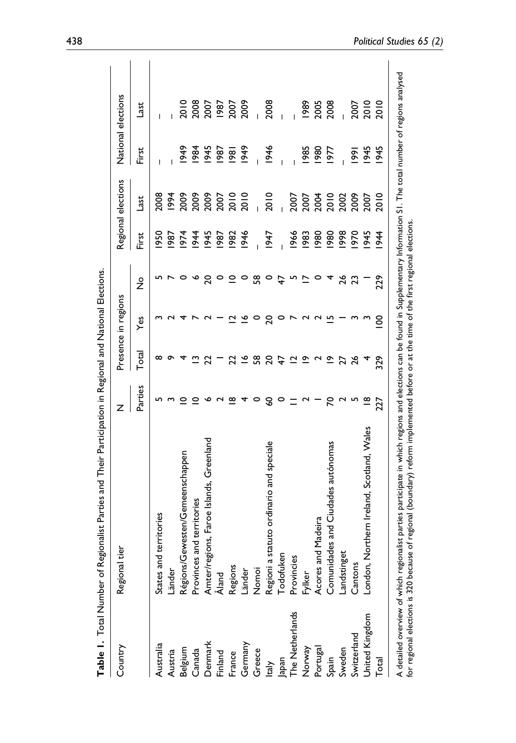| Country         | Regional tier                              | z                       |            | Presence in regions |                          |       | Regional elections |                | National elections |
|-----------------|--------------------------------------------|-------------------------|------------|---------------------|--------------------------|-------|--------------------|----------------|--------------------|
|                 |                                            | Parties                 | Total      | Yes                 | $\frac{1}{2}$            | First | Last               | First          | Last               |
| Australia       | States and territories                     |                         | ∞          |                     |                          | 950   | 2008               |                |                    |
| Austria         | Länder                                     |                         | ᡡ          |                     |                          | 987   | 1994               |                |                    |
| Belgium         | Régions/Gewesten/Gemeenschappen            | 0                       |            |                     | 0                        | 974   | 2009               | 1949           | 2010               |
| Canada          | Provinces and territories                  | 0                       |            |                     | ∾                        | \$4   | 2009               | 984            | 2008               |
| Denmark         | Faroe Islands, Greenland<br>Amter/regions, | ∾                       |            |                     | $\overline{c}$           | 945   | 2009               | 945            | 2007               |
| Finland         | Åland                                      |                         |            |                     | 0                        | 987   | 2007               | 1987           | 1987               |
| France          | Regions                                    | œ                       |            |                     | $\circ$                  | 982   | 2010               | 98             | 2007               |
| Germany         | Länder                                     | 4                       | ≗          | ۰                   | $\circ$                  | 946   | 2010               | 1949           | 2009               |
| Greece          | Nomoi                                      | 0                       | 58         |                     | 58                       |       |                    |                |                    |
| ltaly           | Regioni a statuto ordinario and speciale   | ဒ္ဓ                     | 20         | 20                  | $\circ$                  | 1947  | 2010               | 1946           | 2008               |
| Japan           | Todofuken                                  | 0                       | $\ddot{+}$ |                     | $\overline{4}$           |       |                    |                |                    |
| The Netherlands | Provincies                                 |                         | ≃          |                     | Lŋ                       | 1966  | 2007               |                |                    |
| Norway          | Fylker                                     |                         | ₾          |                     | $\overline{\phantom{0}}$ | 983   | 2007               | <b>1985</b>    | 1989               |
| Portugal        | Acores and Madeira                         |                         |            | $\sim$              | 0                        | 980   | 2004               | 1980           | 2005               |
| Spain           | Comunidades and Ciudades autónomas         | R                       | ≏          | ഗ                   | 4                        | 980   | 2010               | 1977           | 2008               |
| Sweden          | Landstinget                                |                         | 27         |                     | 26                       | 998   | 2002               |                |                    |
| Switzerland     | Cantons                                    |                         | $^{26}$    |                     | $\overline{2}$           | 970   | 2009               | $\overline{5}$ | 2007               |
| United Kingdom  | London, Northern Ireland, Scotland, Wales  | $\frac{\infty}{\infty}$ |            |                     |                          | 945   | 2007               | 1945           | 2010               |
| Total           |                                            | 227                     | 329        | 8                   | 229                      | 944   | 2010               | 945            | 2010               |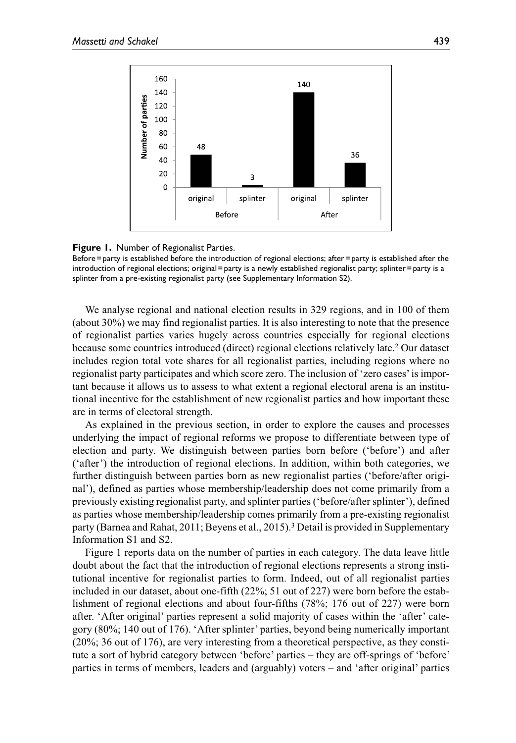



Before=party is established before the introduction of regional elections; after=party is established after the introduction of regional elections; original=party is a newly established regionalist party; splinter=party is a splinter from a pre-existing regionalist party (see Supplementary Information S2).

We analyse regional and national election results in 329 regions, and in 100 of them (about 30%) we may find regionalist parties. It is also interesting to note that the presence of regionalist parties varies hugely across countries especially for regional elections because some countries introduced (direct) regional elections relatively late.2 Our dataset includes region total vote shares for all regionalist parties, including regions where no regionalist party participates and which score zero. The inclusion of 'zero cases' is important because it allows us to assess to what extent a regional electoral arena is an institutional incentive for the establishment of new regionalist parties and how important these are in terms of electoral strength.

As explained in the previous section, in order to explore the causes and processes underlying the impact of regional reforms we propose to differentiate between type of election and party. We distinguish between parties born before ('before') and after ('after') the introduction of regional elections. In addition, within both categories, we further distinguish between parties born as new regionalist parties ('before/after original'), defined as parties whose membership/leadership does not come primarily from a previously existing regionalist party, and splinter parties ('before/after splinter'), defined as parties whose membership/leadership comes primarily from a pre-existing regionalist party (Barnea and Rahat, 2011; Beyens et al., 2015).3 Detail is provided in Supplementary Information S1 and S2.

Figure 1 reports data on the number of parties in each category. The data leave little doubt about the fact that the introduction of regional elections represents a strong institutional incentive for regionalist parties to form. Indeed, out of all regionalist parties included in our dataset, about one-fifth (22%; 51 out of 227) were born before the establishment of regional elections and about four-fifths (78%; 176 out of 227) were born after. 'After original' parties represent a solid majority of cases within the 'after' category (80%; 140 out of 176). 'After splinter' parties, beyond being numerically important (20%; 36 out of 176), are very interesting from a theoretical perspective, as they constitute a sort of hybrid category between 'before' parties – they are off-springs of 'before' parties in terms of members, leaders and (arguably) voters – and 'after original' parties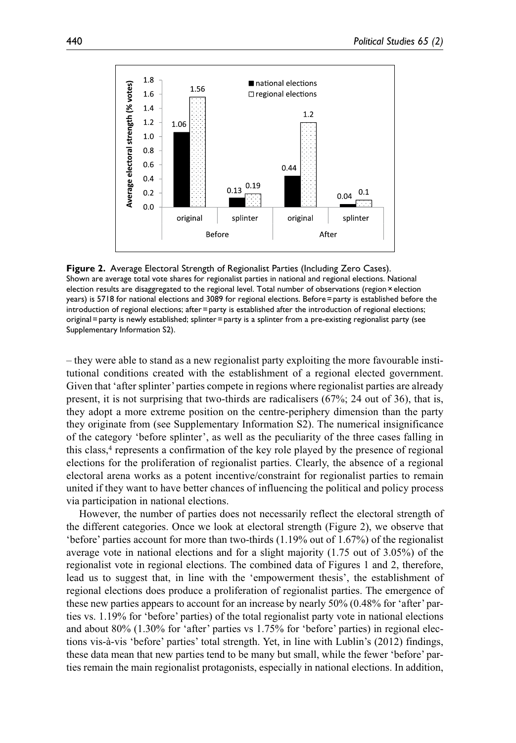

**Figure 2.** Average Electoral Strength of Regionalist Parties (Including Zero Cases). Shown are average total vote shares for regionalist parties in national and regional elections. National election results are disaggregated to the regional level. Total number of observations (region × election years) is 5718 for national elections and 3089 for regional elections. Before=party is established before the introduction of regional elections; after=party is established after the introduction of regional elections; original=party is newly established; splinter=party is a splinter from a pre-existing regionalist party (see Supplementary Information S2).

– they were able to stand as a new regionalist party exploiting the more favourable institutional conditions created with the establishment of a regional elected government. Given that 'after splinter' parties compete in regions where regionalist parties are already present, it is not surprising that two-thirds are radicalisers (67%; 24 out of 36), that is, they adopt a more extreme position on the centre-periphery dimension than the party they originate from (see Supplementary Information S2). The numerical insignificance of the category 'before splinter', as well as the peculiarity of the three cases falling in this class,4 represents a confirmation of the key role played by the presence of regional elections for the proliferation of regionalist parties. Clearly, the absence of a regional electoral arena works as a potent incentive/constraint for regionalist parties to remain united if they want to have better chances of influencing the political and policy process via participation in national elections.

However, the number of parties does not necessarily reflect the electoral strength of the different categories. Once we look at electoral strength (Figure 2), we observe that 'before' parties account for more than two-thirds (1.19% out of 1.67%) of the regionalist average vote in national elections and for a slight majority (1.75 out of 3.05%) of the regionalist vote in regional elections. The combined data of Figures 1 and 2, therefore, lead us to suggest that, in line with the 'empowerment thesis', the establishment of regional elections does produce a proliferation of regionalist parties. The emergence of these new parties appears to account for an increase by nearly 50% (0.48% for 'after' parties vs. 1.19% for 'before' parties) of the total regionalist party vote in national elections and about 80% (1.30% for 'after' parties vs 1.75% for 'before' parties) in regional elections vis-à-vis 'before' parties' total strength. Yet, in line with Lublin's (2012) findings, these data mean that new parties tend to be many but small, while the fewer 'before' parties remain the main regionalist protagonists, especially in national elections. In addition,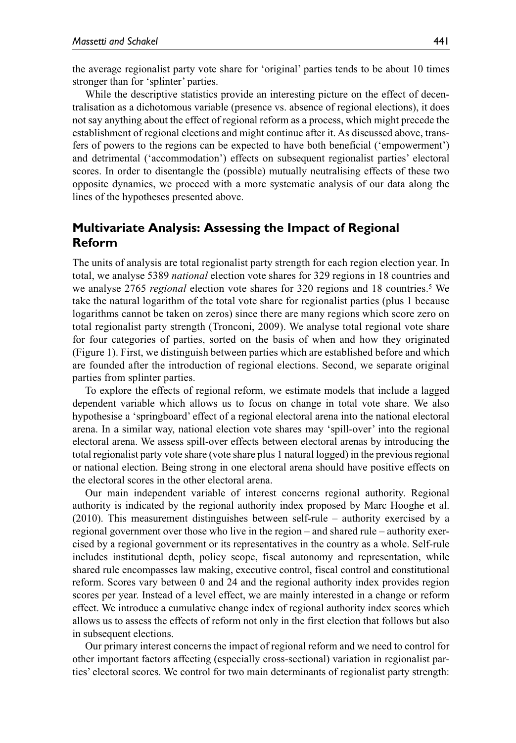the average regionalist party vote share for 'original' parties tends to be about 10 times stronger than for 'splinter' parties.

While the descriptive statistics provide an interesting picture on the effect of decentralisation as a dichotomous variable (presence vs. absence of regional elections), it does not say anything about the effect of regional reform as a process, which might precede the establishment of regional elections and might continue after it. As discussed above, transfers of powers to the regions can be expected to have both beneficial ('empowerment') and detrimental ('accommodation') effects on subsequent regionalist parties' electoral scores. In order to disentangle the (possible) mutually neutralising effects of these two opposite dynamics, we proceed with a more systematic analysis of our data along the lines of the hypotheses presented above.

## **Multivariate Analysis: Assessing the Impact of Regional Reform**

The units of analysis are total regionalist party strength for each region election year. In total, we analyse 5389 *national* election vote shares for 329 regions in 18 countries and we analyse 2765 *regional* election vote shares for 320 regions and 18 countries.5 We take the natural logarithm of the total vote share for regionalist parties (plus 1 because logarithms cannot be taken on zeros) since there are many regions which score zero on total regionalist party strength (Tronconi, 2009). We analyse total regional vote share for four categories of parties, sorted on the basis of when and how they originated (Figure 1). First, we distinguish between parties which are established before and which are founded after the introduction of regional elections. Second, we separate original parties from splinter parties.

To explore the effects of regional reform, we estimate models that include a lagged dependent variable which allows us to focus on change in total vote share. We also hypothesise a 'springboard' effect of a regional electoral arena into the national electoral arena. In a similar way, national election vote shares may 'spill-over' into the regional electoral arena. We assess spill-over effects between electoral arenas by introducing the total regionalist party vote share (vote share plus 1 natural logged) in the previous regional or national election. Being strong in one electoral arena should have positive effects on the electoral scores in the other electoral arena.

Our main independent variable of interest concerns regional authority. Regional authority is indicated by the regional authority index proposed by Marc Hooghe et al. (2010). This measurement distinguishes between self-rule – authority exercised by a regional government over those who live in the region – and shared rule – authority exercised by a regional government or its representatives in the country as a whole. Self-rule includes institutional depth, policy scope, fiscal autonomy and representation, while shared rule encompasses law making, executive control, fiscal control and constitutional reform. Scores vary between 0 and 24 and the regional authority index provides region scores per year. Instead of a level effect, we are mainly interested in a change or reform effect. We introduce a cumulative change index of regional authority index scores which allows us to assess the effects of reform not only in the first election that follows but also in subsequent elections.

Our primary interest concerns the impact of regional reform and we need to control for other important factors affecting (especially cross-sectional) variation in regionalist parties' electoral scores. We control for two main determinants of regionalist party strength: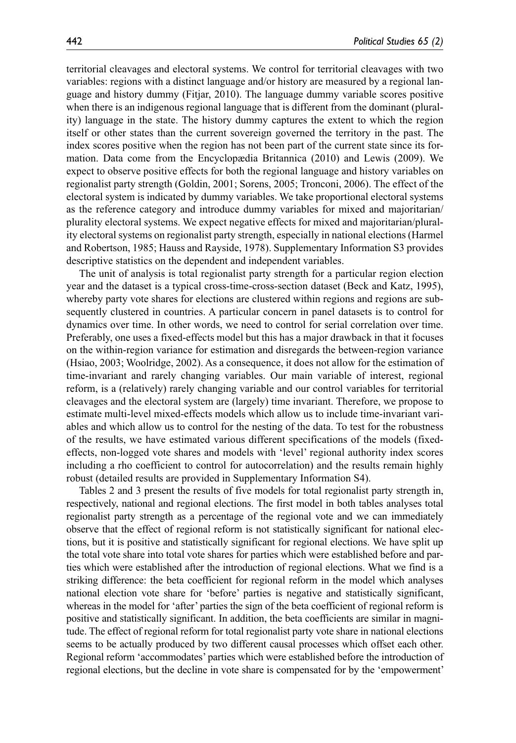territorial cleavages and electoral systems. We control for territorial cleavages with two variables: regions with a distinct language and/or history are measured by a regional language and history dummy (Fitjar, 2010). The language dummy variable scores positive when there is an indigenous regional language that is different from the dominant (plurality) language in the state. The history dummy captures the extent to which the region itself or other states than the current sovereign governed the territory in the past. The index scores positive when the region has not been part of the current state since its formation. Data come from the Encyclopædia Britannica (2010) and Lewis (2009). We expect to observe positive effects for both the regional language and history variables on regionalist party strength (Goldin, 2001; Sorens, 2005; Tronconi, 2006). The effect of the electoral system is indicated by dummy variables. We take proportional electoral systems as the reference category and introduce dummy variables for mixed and majoritarian/ plurality electoral systems. We expect negative effects for mixed and majoritarian/plurality electoral systems on regionalist party strength, especially in national elections (Harmel and Robertson, 1985; Hauss and Rayside, 1978). Supplementary Information S3 provides descriptive statistics on the dependent and independent variables.

The unit of analysis is total regionalist party strength for a particular region election year and the dataset is a typical cross-time-cross-section dataset (Beck and Katz, 1995), whereby party vote shares for elections are clustered within regions and regions are subsequently clustered in countries. A particular concern in panel datasets is to control for dynamics over time. In other words, we need to control for serial correlation over time. Preferably, one uses a fixed-effects model but this has a major drawback in that it focuses on the within-region variance for estimation and disregards the between-region variance (Hsiao, 2003; Woolridge, 2002). As a consequence, it does not allow for the estimation of time-invariant and rarely changing variables. Our main variable of interest, regional reform, is a (relatively) rarely changing variable and our control variables for territorial cleavages and the electoral system are (largely) time invariant. Therefore, we propose to estimate multi-level mixed-effects models which allow us to include time-invariant variables and which allow us to control for the nesting of the data. To test for the robustness of the results, we have estimated various different specifications of the models (fixedeffects, non-logged vote shares and models with 'level' regional authority index scores including a rho coefficient to control for autocorrelation) and the results remain highly robust (detailed results are provided in Supplementary Information S4).

Tables 2 and 3 present the results of five models for total regionalist party strength in, respectively, national and regional elections. The first model in both tables analyses total regionalist party strength as a percentage of the regional vote and we can immediately observe that the effect of regional reform is not statistically significant for national elections, but it is positive and statistically significant for regional elections. We have split up the total vote share into total vote shares for parties which were established before and parties which were established after the introduction of regional elections. What we find is a striking difference: the beta coefficient for regional reform in the model which analyses national election vote share for 'before' parties is negative and statistically significant, whereas in the model for 'after' parties the sign of the beta coefficient of regional reform is positive and statistically significant. In addition, the beta coefficients are similar in magnitude. The effect of regional reform for total regionalist party vote share in national elections seems to be actually produced by two different causal processes which offset each other. Regional reform 'accommodates' parties which were established before the introduction of regional elections, but the decline in vote share is compensated for by the 'empowerment'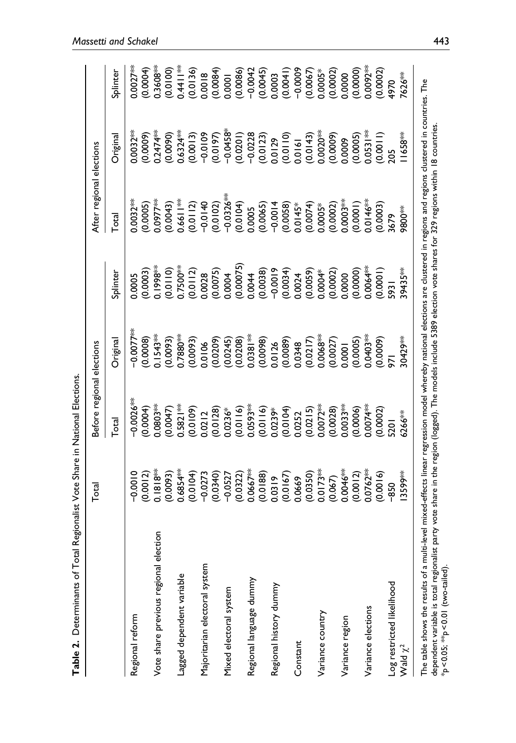|                                       | Total                  | Before regional elections |                        |                                    | After regional elections                    |                                                                                                                  |                       |
|---------------------------------------|------------------------|---------------------------|------------------------|------------------------------------|---------------------------------------------|------------------------------------------------------------------------------------------------------------------|-----------------------|
|                                       |                        | Total                     | Original               | Splinter                           | Total                                       | Original                                                                                                         | Splinter              |
| Regional reform                       | $-0.0010$              | $-0.0026**$               | $-0.0077$              | 0.0005                             | $0.0032**$                                  | $0.0032**$                                                                                                       | $0.0027***$           |
|                                       | (0.0012)               | (0.0004)                  | (0.0008)               | (0.0003)                           | (0.0005)                                    | (0.0009)                                                                                                         | (0.0004)              |
| Vote share previous regional election | $0.1818**$             | $0.0803**$                | $0.1543**$             | 0.1998**                           | $0.0977**$                                  | $0.2474**$                                                                                                       | $0.3608**$            |
|                                       | (0.0093)               | (0.0047)                  | (0.0093)               | (0.0110)                           | (0.0043)                                    | (0.0090)                                                                                                         | (0.0100)              |
| Lagged dependent variable             | $0.6854**$             | $0.5821**$                | $0.7880**$             | $0.7500**$                         | $0.6611*$                                   | $0.6324**$                                                                                                       | $0.4411*$             |
|                                       | (0.0104)               | (0.0109)                  | (0.0093)               | (0.0112)                           | (0.0112)                                    | (0.0013)                                                                                                         | (0.0136)              |
| Majoritarian electoral system         | $-0.0273$              | 0.0212                    | 0.0106                 | 0.0028                             | $-0.0140$                                   | $-0.0109$                                                                                                        | 0.0018                |
|                                       | (0.0340)               | (0.0128)                  | (0.0209)               | (0.0075)                           | (0.0102)                                    | (0.0197)                                                                                                         | (0.0084)              |
| Mixed electoral system                | $-0.0527$<br>(0.0322)  | $0.0236*$                 | (0.0245)               | 0.0004                             | $-0.0326***$                                | $-0.0458$ <sup>*</sup>                                                                                           | 0.0001                |
|                                       |                        | (0.0116)                  | (0.0208)               | (0.00075)                          | (0.0104)                                    | (0.0201)                                                                                                         | (0.0086)              |
| Regional language dummy               | $0.0667**$             | $0.0593**$                | $0.0381**$             | 0.0044                             | 0.0005                                      | $-0.0228$                                                                                                        |                       |
|                                       | $(0.0188)$<br>$0.0319$ | $(0.0116)$<br>$0.0239*$   | $(0.0098)$<br>$0.0126$ | $(0.0038)$<br>$-0.0019$<br>9100.00 | (0.0065)                                    |                                                                                                                  | $-0.0042$<br>(0.0045) |
| Regional history dummy                |                        |                           |                        |                                    |                                             |                                                                                                                  | 0.0003                |
|                                       | (0.0167)               | (0.0104)                  | (0.0089)               |                                    |                                             |                                                                                                                  | (0.0041)              |
| Constant                              |                        | 0.0252<br>(0.0215)        | 0.0348                 | 0.0024                             |                                             |                                                                                                                  | $-0.0009$             |
|                                       | $0.0669$<br>$(0.0350)$ |                           | (0.0217)               | (0.0059)                           | $-0.0014$<br>(0.0058)<br>0.0145*<br>0.0074) | $\begin{array}{l} (0.0123)\\ 0.0129\\ 0.0110\\ 0.0161\\ 0.0161\\ 0.0020^{**}\\ 0.0020^{**}\\ 0.0009)\end{array}$ | (0.0067)              |
| Variance country                      | $0.0173**$             | $0.0072**$                | $0.0068**$             | 0.0004*                            | $0.0005*$                                   |                                                                                                                  | $0.0005*$             |
|                                       | (0.067)                | (0.0028)                  | (0.0027)               | (0.0002)                           | (0.0002)                                    |                                                                                                                  | (0.0002)              |
| Variance region                       | $0.0046**$             | $0.0033***$               | 0.0001                 | 0.0000                             | $0.0003**$                                  | 0.0009                                                                                                           | 0.0000                |
|                                       | (0.0012)               | (0.0006)                  | (0.0005)               | (0.0000)                           | (0.0001)                                    | (0.0005)                                                                                                         | (0.0000)              |
| Variance elections                    | $0.0762**$             | $0.0074**$                | $0.0403**$             | 1.0064**                           | $0.0146**$                                  | $0.0531**$                                                                                                       | $0.0092**$            |
|                                       | (0.0016)               | (0.0002)                  | (0.0009)               | (0.0001)                           | (0.0003)                                    | (0.0011)                                                                                                         | (0.0002)              |
| Log restricted likelihood             | $-850$                 | <b>5201</b>               |                        | 5931                               | 3679                                        | 205                                                                                                              | 4970                  |
| Wald $\chi^2$                         | 13599**                | $6266**$                  | 30429**                | 39435**                            | 9800**                                      | $11658**$                                                                                                        | 7626**                |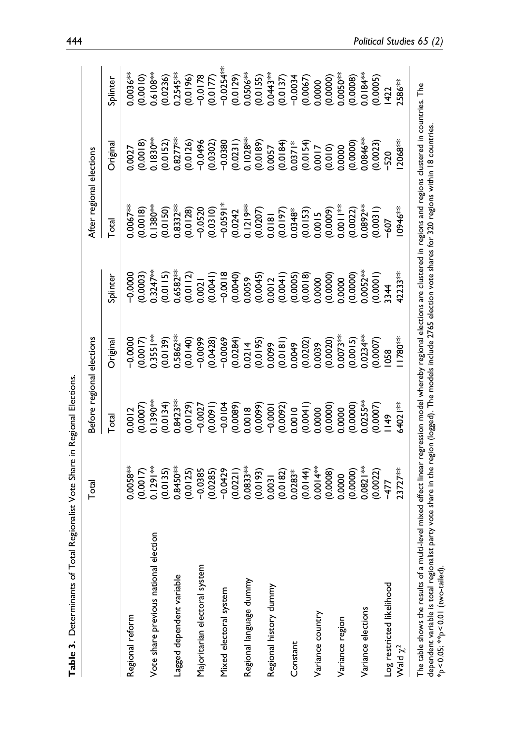| i                                                |
|--------------------------------------------------|
| ֧֪֪֪֦֧֦֪֦֧֦֪֦֟֟֟֟֟֟֟֟֟֝֟֝֝֟֝֝ <b>֟</b><br>١<br>l |
| )<br> 3<br> }<br> }<br>ï                         |
|                                                  |
|                                                  |
| 3                                                |
| ì<br>$\ddot{ }$                                  |
| I<br>i<br>D<br>S                                 |
| $\frac{1}{2}$                                    |

|                                                                                                                                                                                                                                                                                                                                                                                                                        | Total                   |                      | Before regional elections                                                                         |                                                                                       | After regional elections                                           |                                                                         |                        |
|------------------------------------------------------------------------------------------------------------------------------------------------------------------------------------------------------------------------------------------------------------------------------------------------------------------------------------------------------------------------------------------------------------------------|-------------------------|----------------------|---------------------------------------------------------------------------------------------------|---------------------------------------------------------------------------------------|--------------------------------------------------------------------|-------------------------------------------------------------------------|------------------------|
|                                                                                                                                                                                                                                                                                                                                                                                                                        |                         | Total                | Original                                                                                          | Splinter                                                                              | Total                                                              | Original                                                                | Splinter               |
| Regional reform                                                                                                                                                                                                                                                                                                                                                                                                        | $0.0058**$              | 0.0012               | $-0.0000$                                                                                         | $-0.0000$                                                                             | $0.0067***$                                                        | 0.0027                                                                  | $0.0036**$             |
|                                                                                                                                                                                                                                                                                                                                                                                                                        | (0.0017)                | (0.0007)             | (0.0017)                                                                                          | (0.0003)                                                                              | (0.0018)                                                           | (0.0018)                                                                | (0.0010)               |
| $\overline{6}$<br>Vote share previous national electi                                                                                                                                                                                                                                                                                                                                                                  | $0.1291$ <sup>**</sup>  | $0.1390***$          | $0.3551**$                                                                                        | $0.3247**$                                                                            | $0.1380**$                                                         | $0.1830***$                                                             | $0.6108**$             |
|                                                                                                                                                                                                                                                                                                                                                                                                                        | (0.0135)                | (0.0134)             | (0.0139)                                                                                          | (0.0115)                                                                              | (0.0150)                                                           | (0.0152)                                                                | (0.0236)               |
| Lagged dependent variable                                                                                                                                                                                                                                                                                                                                                                                              | $0.8450**$              | $0.8423*$            | $0.5862**$                                                                                        | $0.6582**$                                                                            | $0.8332**$                                                         | $0.8277**$                                                              | $0.2545**$             |
|                                                                                                                                                                                                                                                                                                                                                                                                                        | (0.0125)                | (0.0129)             | (0.0140)                                                                                          | (0.0112)                                                                              | (0.0128)                                                           | (0.0126)                                                                | (0.0196)               |
| Majoritarian electoral system                                                                                                                                                                                                                                                                                                                                                                                          | $-0.0385$               | $-0.0027$            | $-0.0099$                                                                                         | 0.0021                                                                                | $-0.0520$                                                          | $-0.0496$                                                               | $-0.0178$              |
|                                                                                                                                                                                                                                                                                                                                                                                                                        | (0.0285)                | (0.0091)             | (0.0428)                                                                                          | (0.0041)                                                                              | (0.0310)                                                           | (0.0302)                                                                | (0.0177)               |
| Mixed electoral system                                                                                                                                                                                                                                                                                                                                                                                                 | $-0.0429$               | $-0.0104$            | $-0.0069$<br>(0.0284)                                                                             | $-0.0018$<br>(0.0040)                                                                 | $-0.059$ <sup>*</sup>                                              | $-0.0380$                                                               | $-0.0254**$            |
|                                                                                                                                                                                                                                                                                                                                                                                                                        | (0.0221)                | (0.0089)             |                                                                                                   |                                                                                       | $(0.0242$<br>0.1219**<br>(0.0207)                                  | (0.0231)                                                                | (0.0129)               |
| Regional language dummy                                                                                                                                                                                                                                                                                                                                                                                                | $0.0833**$              | 0.0018               |                                                                                                   | 0.0059                                                                                |                                                                    |                                                                         | $0.0506**$             |
|                                                                                                                                                                                                                                                                                                                                                                                                                        | $(0.0193)$<br>0.0031    | (0.0099)             | $\begin{array}{c} 0.0214 \\ (0.0195) \\ 0.0099 \end{array}$                                       | (0.0045)                                                                              |                                                                    |                                                                         | $(0.0155)$<br>0.0443** |
| Regional history dummy                                                                                                                                                                                                                                                                                                                                                                                                 |                         | $-0.0001$            |                                                                                                   |                                                                                       | 0.0181                                                             |                                                                         |                        |
|                                                                                                                                                                                                                                                                                                                                                                                                                        | (0.0182)                | (0.0092)             | $(0.0181)$<br>0.0049                                                                              |                                                                                       |                                                                    |                                                                         | (0.0137)               |
| Constant                                                                                                                                                                                                                                                                                                                                                                                                               | $0.0283*$<br>$(0.0144)$ | 0.0010               |                                                                                                   |                                                                                       |                                                                    |                                                                         |                        |
|                                                                                                                                                                                                                                                                                                                                                                                                                        |                         | $(0.0041)$<br>0.0000 | (0.0202)                                                                                          | $\begin{array}{c} 0.0012 \\ (0.0041) \\ (0.0005) \\ (0.0008) \\ (0.0018) \end{array}$ |                                                                    | $0.1028***\n(0.0189)\n(0.0187)\n(0.0184)\n(0.0184)\n(0.0154)\n(0.0154)$ | (0.0067)               |
| Variance country                                                                                                                                                                                                                                                                                                                                                                                                       | $0.0014**$              |                      |                                                                                                   | 0.0000                                                                                |                                                                    |                                                                         | 0.0000                 |
|                                                                                                                                                                                                                                                                                                                                                                                                                        | (0.0008)                | (0.0000)             |                                                                                                   | (0.0000)                                                                              |                                                                    |                                                                         | (0.0000)               |
| Variance region                                                                                                                                                                                                                                                                                                                                                                                                        | 0.0000                  | 0.0000               |                                                                                                   | 0.0000                                                                                |                                                                    | 0.0000                                                                  | $0.0050***$            |
|                                                                                                                                                                                                                                                                                                                                                                                                                        | (0.0000)                | (0.0000)             | $\begin{array}{c} 0.0039 \ (0.0020) \ 0.0073^{**} \ 0.0015) \ (0.0015) \ 0.0234^{**} \end{array}$ | (0.0000)                                                                              | $(0.0197)$<br>0.0348*<br>0.0153)<br>0.0015<br>0.0009)<br>0.00011** | (0.0000)                                                                | (0.0008)               |
| Variance elections                                                                                                                                                                                                                                                                                                                                                                                                     | $0.082$  **             | $0.0255***$          |                                                                                                   | $0.0052**$                                                                            | $0.0892***$                                                        | $0.0846**$                                                              | $0.0184**$             |
|                                                                                                                                                                                                                                                                                                                                                                                                                        | (0.0022)                | (0.0007)             | (0.0007)                                                                                          | (0.0001)                                                                              | (0.0031)                                                           | (0.0023)                                                                | (0.0005)               |
| Log restricted likelihood                                                                                                                                                                                                                                                                                                                                                                                              | -477                    | $\frac{49}{5}$       | 058                                                                                               | 3344                                                                                  | -607                                                               | $-520$                                                                  | 1422                   |
| Wald $\chi^2$                                                                                                                                                                                                                                                                                                                                                                                                          | 23727**                 | 64021**              | $1780**$                                                                                          | $1223$ <sup>**</sup>                                                                  | 1946**                                                             | $2068**$                                                                | 2586**                 |
| The table shows the results of a multi-level mixed effect linear regression model whereby regional elections are clustered in regions and regions clustered in countries. The<br>dependent variable is total regionalist party vote share in the region (logged). The models include 2765 election vote shares for 320 regions within 18 countries.<br>$k_{\text{p}} < 0.05$ ; $^{4 \text{st}}$ p < 0.01 (two-tailed). |                         |                      |                                                                                                   |                                                                                       |                                                                    |                                                                         |                        |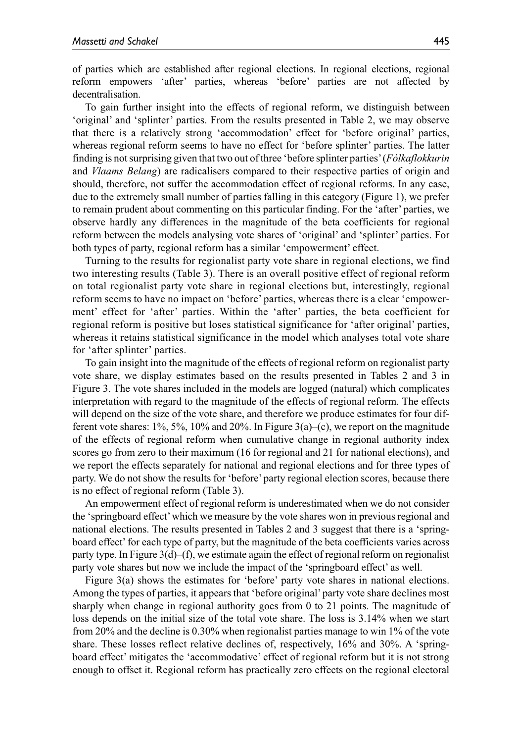of parties which are established after regional elections. In regional elections, regional reform empowers 'after' parties, whereas 'before' parties are not affected by decentralisation.

To gain further insight into the effects of regional reform, we distinguish between 'original' and 'splinter' parties. From the results presented in Table 2, we may observe that there is a relatively strong 'accommodation' effect for 'before original' parties, whereas regional reform seems to have no effect for 'before splinter' parties. The latter finding is not surprising given that two out of three 'before splinter parties' (*Fólkaflokkurin* and *Vlaams Belang*) are radicalisers compared to their respective parties of origin and should, therefore, not suffer the accommodation effect of regional reforms. In any case, due to the extremely small number of parties falling in this category (Figure 1), we prefer to remain prudent about commenting on this particular finding. For the 'after' parties, we observe hardly any differences in the magnitude of the beta coefficients for regional reform between the models analysing vote shares of 'original' and 'splinter' parties. For both types of party, regional reform has a similar 'empowerment' effect.

Turning to the results for regionalist party vote share in regional elections, we find two interesting results (Table 3). There is an overall positive effect of regional reform on total regionalist party vote share in regional elections but, interestingly, regional reform seems to have no impact on 'before' parties, whereas there is a clear 'empowerment' effect for 'after' parties. Within the 'after' parties, the beta coefficient for regional reform is positive but loses statistical significance for 'after original' parties, whereas it retains statistical significance in the model which analyses total vote share for 'after splinter' parties.

To gain insight into the magnitude of the effects of regional reform on regionalist party vote share, we display estimates based on the results presented in Tables 2 and 3 in Figure 3. The vote shares included in the models are logged (natural) which complicates interpretation with regard to the magnitude of the effects of regional reform. The effects will depend on the size of the vote share, and therefore we produce estimates for four different vote shares:  $1\%, 5\%, 10\%$  and  $20\%$ . In Figure 3(a)–(c), we report on the magnitude of the effects of regional reform when cumulative change in regional authority index scores go from zero to their maximum (16 for regional and 21 for national elections), and we report the effects separately for national and regional elections and for three types of party. We do not show the results for 'before' party regional election scores, because there is no effect of regional reform (Table 3).

An empowerment effect of regional reform is underestimated when we do not consider the 'springboard effect' which we measure by the vote shares won in previous regional and national elections. The results presented in Tables 2 and 3 suggest that there is a 'springboard effect' for each type of party, but the magnitude of the beta coefficients varies across party type. In Figure  $3(d)$ –(f), we estimate again the effect of regional reform on regionalist party vote shares but now we include the impact of the 'springboard effect' as well.

Figure 3(a) shows the estimates for 'before' party vote shares in national elections. Among the types of parties, it appears that 'before original' party vote share declines most sharply when change in regional authority goes from 0 to 21 points. The magnitude of loss depends on the initial size of the total vote share. The loss is  $3.14\%$  when we start from 20% and the decline is 0.30% when regionalist parties manage to win 1% of the vote share. These losses reflect relative declines of, respectively, 16% and 30%. A 'springboard effect' mitigates the 'accommodative' effect of regional reform but it is not strong enough to offset it. Regional reform has practically zero effects on the regional electoral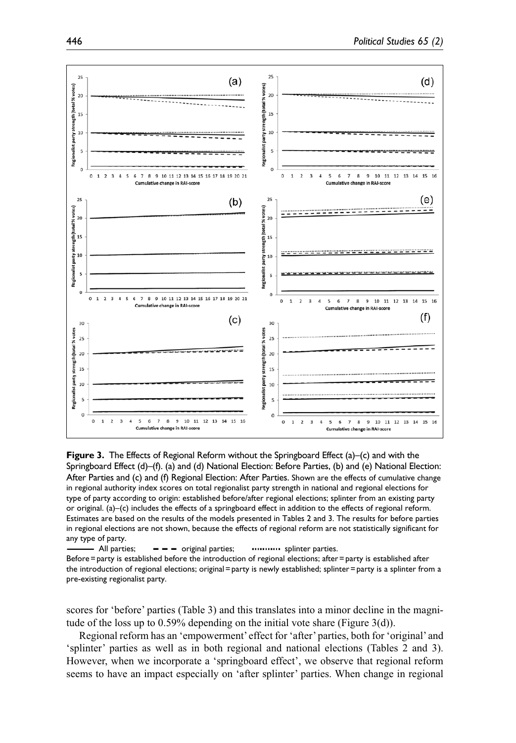

**Figure 3.** The Effects of Regional Reform without the Springboard Effect (a)–(c) and with the Springboard Effect (d)–(f). (a) and (d) National Election: Before Parties, (b) and (e) National Election: After Parties and (c) and (f) Regional Election: After Parties. Shown are the effects of cumulative change in regional authority index scores on total regionalist party strength in national and regional elections for type of party according to origin: established before/after regional elections; splinter from an existing party or original. (a)–(c) includes the effects of a springboard effect in addition to the effects of regional reform. Estimates are based on the results of the models presented in Tables 2 and 3. The results for before parties in regional elections are not shown, because the effects of regional reform are not statistically significant for any type of party.

- All parties;  $\qquad - -$  original parties; surfacently splinter parties.

Before=party is established before the introduction of regional elections; after=party is established after the introduction of regional elections; original=party is newly established; splinter=party is a splinter from a pre-existing regionalist party.

scores for 'before' parties (Table 3) and this translates into a minor decline in the magnitude of the loss up to 0.59% depending on the initial vote share (Figure 3(d)).

Regional reform has an 'empowerment' effect for 'after' parties, both for 'original' and 'splinter' parties as well as in both regional and national elections (Tables 2 and 3). However, when we incorporate a 'springboard effect', we observe that regional reform seems to have an impact especially on 'after splinter' parties. When change in regional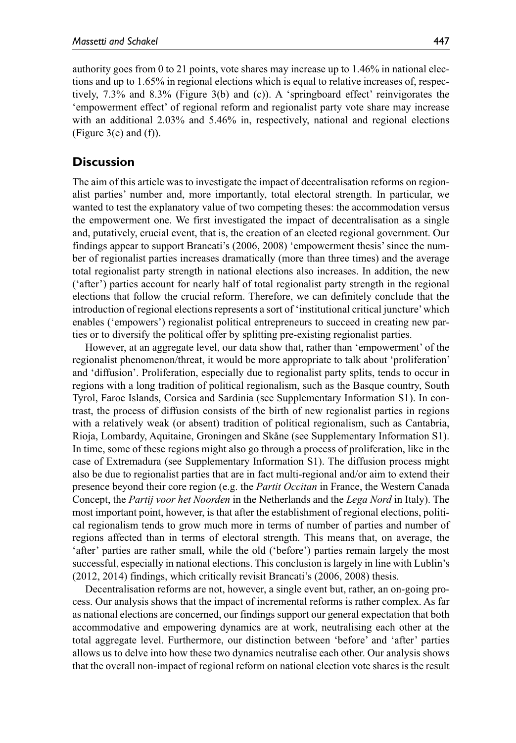authority goes from 0 to 21 points, vote shares may increase up to 1.46% in national elections and up to 1.65% in regional elections which is equal to relative increases of, respectively, 7.3% and 8.3% (Figure 3(b) and (c)). A 'springboard effect' reinvigorates the 'empowerment effect' of regional reform and regionalist party vote share may increase with an additional 2.03% and 5.46% in, respectively, national and regional elections (Figure 3(e) and  $(f)$ ).

## **Discussion**

The aim of this article was to investigate the impact of decentralisation reforms on regionalist parties' number and, more importantly, total electoral strength. In particular, we wanted to test the explanatory value of two competing theses: the accommodation versus the empowerment one. We first investigated the impact of decentralisation as a single and, putatively, crucial event, that is, the creation of an elected regional government. Our findings appear to support Brancati's (2006, 2008) 'empowerment thesis' since the number of regionalist parties increases dramatically (more than three times) and the average total regionalist party strength in national elections also increases. In addition, the new ('after') parties account for nearly half of total regionalist party strength in the regional elections that follow the crucial reform. Therefore, we can definitely conclude that the introduction of regional elections represents a sort of 'institutional critical juncture' which enables ('empowers') regionalist political entrepreneurs to succeed in creating new parties or to diversify the political offer by splitting pre-existing regionalist parties.

However, at an aggregate level, our data show that, rather than 'empowerment' of the regionalist phenomenon/threat, it would be more appropriate to talk about 'proliferation' and 'diffusion'. Proliferation, especially due to regionalist party splits, tends to occur in regions with a long tradition of political regionalism, such as the Basque country, South Tyrol, Faroe Islands, Corsica and Sardinia (see Supplementary Information S1). In contrast, the process of diffusion consists of the birth of new regionalist parties in regions with a relatively weak (or absent) tradition of political regionalism, such as Cantabria, Rioja, Lombardy, Aquitaine, Groningen and Skåne (see Supplementary Information S1). In time, some of these regions might also go through a process of proliferation, like in the case of Extremadura (see Supplementary Information S1). The diffusion process might also be due to regionalist parties that are in fact multi-regional and/or aim to extend their presence beyond their core region (e.g. the *Partit Occitan* in France, the Western Canada Concept, the *Partij voor het Noorden* in the Netherlands and the *Lega Nord* in Italy). The most important point, however, is that after the establishment of regional elections, political regionalism tends to grow much more in terms of number of parties and number of regions affected than in terms of electoral strength. This means that, on average, the 'after' parties are rather small, while the old ('before') parties remain largely the most successful, especially in national elections. This conclusion is largely in line with Lublin's (2012, 2014) findings, which critically revisit Brancati's (2006, 2008) thesis.

Decentralisation reforms are not, however, a single event but, rather, an on-going process. Our analysis shows that the impact of incremental reforms is rather complex. As far as national elections are concerned, our findings support our general expectation that both accommodative and empowering dynamics are at work, neutralising each other at the total aggregate level. Furthermore, our distinction between 'before' and 'after' parties allows us to delve into how these two dynamics neutralise each other. Our analysis shows that the overall non-impact of regional reform on national election vote shares is the result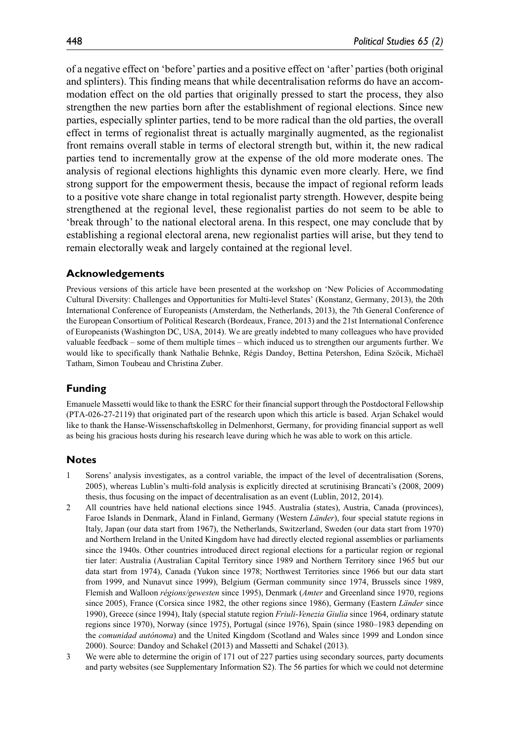of a negative effect on 'before' parties and a positive effect on 'after' parties (both original and splinters). This finding means that while decentralisation reforms do have an accommodation effect on the old parties that originally pressed to start the process, they also strengthen the new parties born after the establishment of regional elections. Since new parties, especially splinter parties, tend to be more radical than the old parties, the overall effect in terms of regionalist threat is actually marginally augmented, as the regionalist front remains overall stable in terms of electoral strength but, within it, the new radical parties tend to incrementally grow at the expense of the old more moderate ones. The analysis of regional elections highlights this dynamic even more clearly. Here, we find strong support for the empowerment thesis, because the impact of regional reform leads to a positive vote share change in total regionalist party strength. However, despite being strengthened at the regional level, these regionalist parties do not seem to be able to 'break through' to the national electoral arena. In this respect, one may conclude that by establishing a regional electoral arena, new regionalist parties will arise, but they tend to remain electorally weak and largely contained at the regional level.

#### **Acknowledgements**

Previous versions of this article have been presented at the workshop on 'New Policies of Accommodating Cultural Diversity: Challenges and Opportunities for Multi-level States' (Konstanz, Germany, 2013), the 20th International Conference of Europeanists (Amsterdam, the Netherlands, 2013), the 7th General Conference of the European Consortium of Political Research (Bordeaux, France, 2013) and the 21st International Conference of Europeanists (Washington DC, USA, 2014). We are greatly indebted to many colleagues who have provided valuable feedback – some of them multiple times – which induced us to strengthen our arguments further. We would like to specifically thank Nathalie Behnke, Régis Dandoy, Bettina Petershon, Edina Szöcik, Michaël Tatham, Simon Toubeau and Christina Zuber.

#### **Funding**

Emanuele Massetti would like to thank the ESRC for their financial support through the Postdoctoral Fellowship (PTA-026-27-2119) that originated part of the research upon which this article is based. Arjan Schakel would like to thank the Hanse-Wissenschaftskolleg in Delmenhorst, Germany, for providing financial support as well as being his gracious hosts during his research leave during which he was able to work on this article.

#### **Notes**

- 1 Sorens' analysis investigates, as a control variable, the impact of the level of decentralisation (Sorens, 2005), whereas Lublin's multi-fold analysis is explicitly directed at scrutinising Brancati's (2008, 2009) thesis, thus focusing on the impact of decentralisation as an event (Lublin, 2012, 2014).
- 2 All countries have held national elections since 1945. Australia (states), Austria, Canada (provinces), Faroe Islands in Denmark, Åland in Finland, Germany (Western *Länder*), four special statute regions in Italy, Japan (our data start from 1967), the Netherlands, Switzerland, Sweden (our data start from 1970) and Northern Ireland in the United Kingdom have had directly elected regional assemblies or parliaments since the 1940s. Other countries introduced direct regional elections for a particular region or regional tier later: Australia (Australian Capital Territory since 1989 and Northern Territory since 1965 but our data start from 1974), Canada (Yukon since 1978; Northwest Territories since 1966 but our data start from 1999, and Nunavut since 1999), Belgium (German community since 1974, Brussels since 1989, Flemish and Walloon *régions/gewesten* since 1995), Denmark (*Amter* and Greenland since 1970, regions since 2005), France (Corsica since 1982, the other regions since 1986), Germany (Eastern *Länder* since 1990), Greece (since 1994), Italy (special statute region *Friuli-Venezia Giulia* since 1964, ordinary statute regions since 1970), Norway (since 1975), Portugal (since 1976), Spain (since 1980–1983 depending on the *comunidad autónoma*) and the United Kingdom (Scotland and Wales since 1999 and London since 2000). Source: Dandoy and Schakel (2013) and Massetti and Schakel (2013).
- 3 We were able to determine the origin of 171 out of 227 parties using secondary sources, party documents and party websites (see Supplementary Information S2). The 56 parties for which we could not determine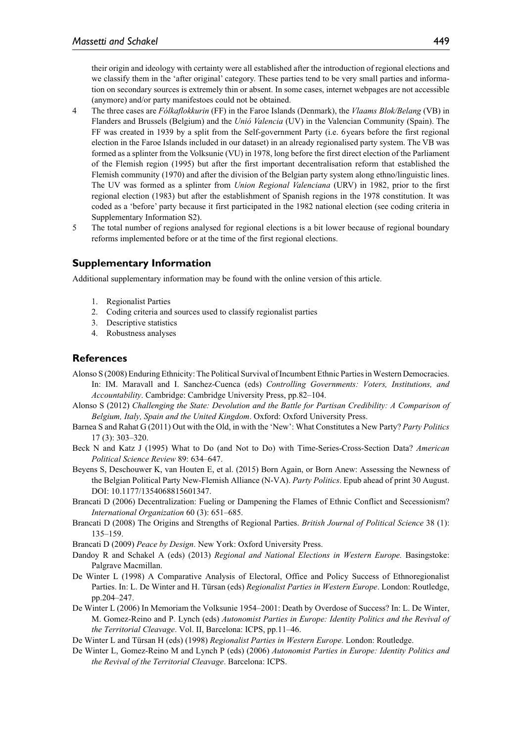their origin and ideology with certainty were all established after the introduction of regional elections and we classify them in the 'after original' category. These parties tend to be very small parties and information on secondary sources is extremely thin or absent. In some cases, internet webpages are not accessible (anymore) and/or party manifestoes could not be obtained.

- 4 The three cases are *Fólkaflokkurin* (FF) in the Faroe Islands (Denmark), the *Vlaams Blok/Belang* (VB) in Flanders and Brussels (Belgium) and the *Unió Valencia* (UV) in the Valencian Community (Spain). The FF was created in 1939 by a split from the Self-government Party (i.e. 6years before the first regional election in the Faroe Islands included in our dataset) in an already regionalised party system. The VB was formed as a splinter from the Volksunie (VU) in 1978, long before the first direct election of the Parliament of the Flemish region (1995) but after the first important decentralisation reform that established the Flemish community (1970) and after the division of the Belgian party system along ethno/linguistic lines. The UV was formed as a splinter from *Union Regional Valenciana* (URV) in 1982, prior to the first regional election (1983) but after the establishment of Spanish regions in the 1978 constitution. It was coded as a 'before' party because it first participated in the 1982 national election (see coding criteria in Supplementary Information S2).
- 5 The total number of regions analysed for regional elections is a bit lower because of regional boundary reforms implemented before or at the time of the first regional elections.

## **Supplementary Information**

Additional supplementary information may be found with the online version of this article.

- 1. Regionalist Parties
- 2. Coding criteria and sources used to classify regionalist parties
- 3. Descriptive statistics
- 4. Robustness analyses

#### **References**

- Alonso S (2008) Enduring Ethnicity: The Political Survival of Incumbent Ethnic Parties in Western Democracies. In: IM. Maravall and I. Sanchez-Cuenca (eds) *Controlling Governments: Voters, Institutions, and Accountability*. Cambridge: Cambridge University Press, pp.82–104.
- Alonso S (2012) *Challenging the State: Devolution and the Battle for Partisan Credibility: A Comparison of Belgium, Italy, Spain and the United Kingdom*. Oxford: Oxford University Press.
- Barnea S and Rahat G (2011) Out with the Old, in with the 'New': What Constitutes a New Party? *Party Politics* 17 (3): 303–320.
- Beck N and Katz J (1995) What to Do (and Not to Do) with Time-Series-Cross-Section Data? *American Political Science Review* 89: 634–647.
- Beyens S, Deschouwer K, van Houten E, et al. (2015) Born Again, or Born Anew: Assessing the Newness of the Belgian Political Party New-Flemish Alliance (N-VA). *Party Politics*. Epub ahead of print 30 August. DOI: 10.1177/1354068815601347.
- Brancati D (2006) Decentralization: Fueling or Dampening the Flames of Ethnic Conflict and Secessionism? *International Organization* 60 (3): 651–685.
- Brancati D (2008) The Origins and Strengths of Regional Parties. *British Journal of Political Science* 38 (1): 135–159.
- Brancati D (2009) *Peace by Design*. New York: Oxford University Press.
- Dandoy R and Schakel A (eds) (2013) *Regional and National Elections in Western Europe.* Basingstoke: Palgrave Macmillan.
- De Winter L (1998) A Comparative Analysis of Electoral, Office and Policy Success of Ethnoregionalist Parties. In: L. De Winter and H. Türsan (eds) *Regionalist Parties in Western Europe*. London: Routledge, pp.204–247.
- De Winter L (2006) In Memoriam the Volksunie 1954–2001: Death by Overdose of Success? In: L. De Winter, M. Gomez-Reino and P. Lynch (eds) *Autonomist Parties in Europe: Identity Politics and the Revival of the Territorial Cleavage*. Vol. II, Barcelona: ICPS, pp.11–46.
- De Winter L and Türsan H (eds) (1998) *Regionalist Parties in Western Europe*. London: Routledge.
- De Winter L, Gomez-Reino M and Lynch P (eds) (2006) *Autonomist Parties in Europe: Identity Politics and the Revival of the Territorial Cleavage*. Barcelona: ICPS.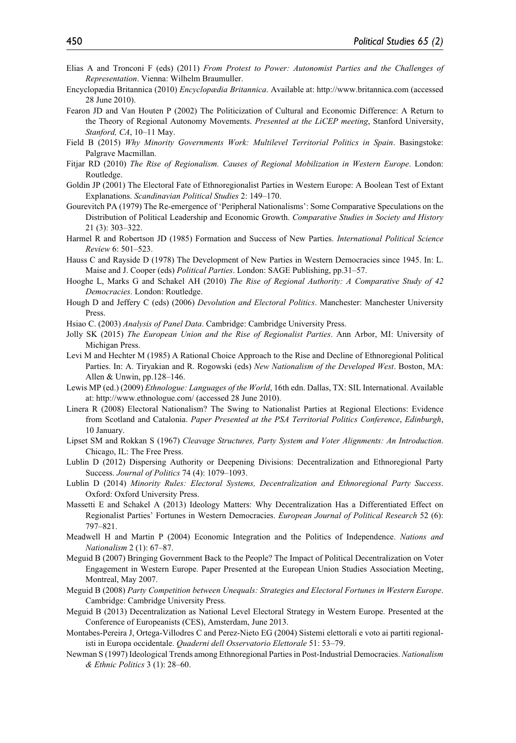- Elias A and Tronconi F (eds) (2011) *From Protest to Power: Autonomist Parties and the Challenges of Representation*. Vienna: Wilhelm Braumuller.
- Encyclopædia Britannica (2010) *Encyclopædia Britannica*. Available at: <http://www.britannica.com>(accessed 28 June 2010).
- Fearon JD and Van Houten P (2002) The Politicization of Cultural and Economic Difference: A Return to the Theory of Regional Autonomy Movements. *Presented at the LiCEP meeting*, Stanford University, *Stanford, CA*, 10–11 May.
- Field B (2015) *Why Minority Governments Work: Multilevel Territorial Politics in Spain*. Basingstoke: Palgrave Macmillan.
- Fitjar RD (2010) *The Rise of Regionalism. Causes of Regional Mobilization in Western Europe*. London: Routledge.
- Goldin JP (2001) The Electoral Fate of Ethnoregionalist Parties in Western Europe: A Boolean Test of Extant Explanations. *Scandinavian Political Studies* 2: 149–170.
- Gourevitch PA (1979) The Re-emergence of 'Peripheral Nationalisms': Some Comparative Speculations on the Distribution of Political Leadership and Economic Growth. *Comparative Studies in Society and History* 21 (3): 303–322.
- Harmel R and Robertson JD (1985) Formation and Success of New Parties. *International Political Science Review* 6: 501–523.
- Hauss C and Rayside D (1978) The Development of New Parties in Western Democracies since 1945. In: L. Maise and J. Cooper (eds) *Political Parties*. London: SAGE Publishing, pp.31–57.
- Hooghe L, Marks G and Schakel AH (2010) *The Rise of Regional Authority: A Comparative Study of 42 Democracies*. London: Routledge.
- Hough D and Jeffery C (eds) (2006) *Devolution and Electoral Politics*. Manchester: Manchester University Press.
- Hsiao C. (2003) *Analysis of Panel Data*. Cambridge: Cambridge University Press.
- Jolly SK (2015) *The European Union and the Rise of Regionalist Parties*. Ann Arbor, MI: University of Michigan Press.
- Levi M and Hechter M (1985) A Rational Choice Approach to the Rise and Decline of Ethnoregional Political Parties. In: A. Tiryakian and R. Rogowski (eds) *New Nationalism of the Developed West*. Boston, MA: Allen & Unwin, pp.128–146.
- Lewis MP (ed.) (2009) *Ethnologue: Languages of the World*, 16th edn. Dallas, TX: SIL International. Available at:<http://www.ethnologue.com/> (accessed 28 June 2010).
- Linera R (2008) Electoral Nationalism? The Swing to Nationalist Parties at Regional Elections: Evidence from Scotland and Catalonia. *Paper Presented at the PSA Territorial Politics Conference*, *Edinburgh*, 10 January.
- Lipset SM and Rokkan S (1967) *Cleavage Structures, Party System and Voter Alignments: An Introduction*. Chicago, IL: The Free Press.
- Lublin D (2012) Dispersing Authority or Deepening Divisions: Decentralization and Ethnoregional Party Success. *Journal of Politics* 74 (4): 1079–1093.
- Lublin D (2014) *Minority Rules: Electoral Systems, Decentralization and Ethnoregional Party Success*. Oxford: Oxford University Press.
- Massetti E and Schakel A (2013) Ideology Matters: Why Decentralization Has a Differentiated Effect on Regionalist Parties' Fortunes in Western Democracies. *European Journal of Political Research* 52 (6): 797–821.
- Meadwell H and Martin P (2004) Economic Integration and the Politics of Independence. *Nations and Nationalism* 2 (1): 67–87.
- Meguid B (2007) Bringing Government Back to the People? The Impact of Political Decentralization on Voter Engagement in Western Europe. Paper Presented at the European Union Studies Association Meeting, Montreal, May 2007.
- Meguid B (2008) *Party Competition between Unequals: Strategies and Electoral Fortunes in Western Europe*. Cambridge: Cambridge University Press.
- Meguid B (2013) Decentralization as National Level Electoral Strategy in Western Europe. Presented at the Conference of Europeanists (CES), Amsterdam, June 2013.
- Montabes-Pereira J, Ortega-Villodres C and Perez-Nieto EG (2004) Sistemi elettorali e voto ai partiti regionalisti in Europa occidentale. *Quaderni dell Osservatorio Elettorale* 51: 53–79.
- Newman S (1997) Ideological Trends among Ethnoregional Parties in Post-Industrial Democracies. *Nationalism & Ethnic Politics* 3 (1): 28–60.